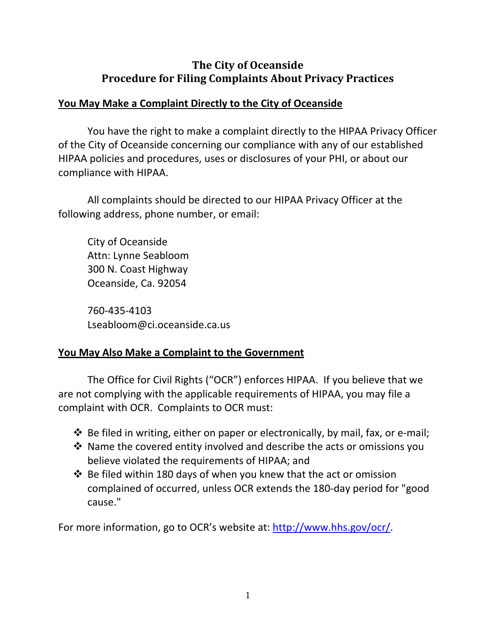## **The City of Oceanside Procedure for Filing Complaints About Privacy Practices**

## **You May Make a Complaint Directly to the City of Oceanside**

You have the right to make a complaint directly to the HIPAA Privacy Officer of the City of Oceanside concerning our compliance with any of our established HIPAA policies and procedures, uses or disclosures of your PHI, or about our compliance with HIPAA.

All complaints should be directed to our HIPAA Privacy Officer at the following address, phone number, or email:

City of Oceanside Attn: Lynne Seabloom 300 N. Coast Highway Oceanside, Ca. 92054

760‐435‐4103 Lseabloom@ci.oceanside.ca.us

## **You May Also Make a Complaint to the Government**

The Office for Civil Rights ("OCR") enforces HIPAA. If you believe that we are not complying with the applicable requirements of HIPAA, you may file a complaint with OCR. Complaints to OCR must:

- Be filed in writing, either on paper or electronically, by mail, fax, or e‐mail;
- Name the covered entity involved and describe the acts or omissions you believe violated the requirements of HIPAA; and
- $\cdot$  Be filed within 180 days of when you knew that the act or omission complained of occurred, unless OCR extends the 180‐day period for "good cause."

For more information, go to OCR's website at: http://www.hhs.gov/ocr/.